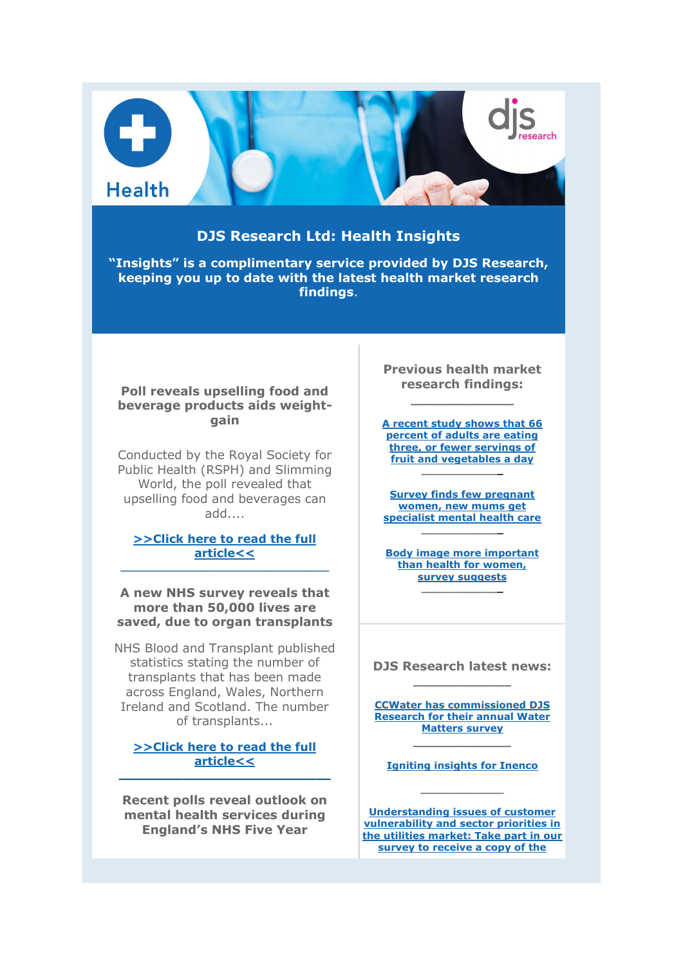## **DJS Research Ltd: Health Insights**

**"Insights" is a complimentary service provided by DJS Research, keeping you up to date with the latest health market research findings**.

## **Poll reveals upselling food and beverage products aids weightgain**

**Health** 

Conducted by the Royal Society for Public Health (RSPH) and Slimming World, the poll revealed that upselling food and beverages can add....

## **[>>Click here to read the full](http://click.icptrack.com/icp/relay.php?r=&msgid=0&act=111111&c=948381&destination=http%3A%2F%2Fwww.djsresearch.co.uk%2FHealthMarketResearchInsightsAndFindings%2Farticle%2FPoll-reveals-upselling-food-and-beverage-products-aids-weight-gain-03818)  [article<<](http://click.icptrack.com/icp/relay.php?r=&msgid=0&act=111111&c=948381&destination=http%3A%2F%2Fwww.djsresearch.co.uk%2FHealthMarketResearchInsightsAndFindings%2Farticle%2FPoll-reveals-upselling-food-and-beverage-products-aids-weight-gain-03818)** \_\_\_\_\_\_\_\_\_\_\_\_\_\_\_\_\_\_\_\_\_\_\_\_\_\_\_\_\_\_\_\_\_

## **A new NHS survey reveals that more than 50,000 lives are saved, due to organ transplants**

NHS Blood and Transplant published statistics stating the number of transplants that has been made across England, Wales, Northern Ireland and Scotland. The number of transplants...

**[>>Click here to read the full](http://click.icptrack.com/icp/relay.php?r=&msgid=0&act=111111&c=948381&destination=http%3A%2F%2Fwww.djsresearch.co.uk%2FHealthMarketResearchInsightsAndFindings%2Farticle%2FA-new-NHS-survey-reveals-that-more-than-50000-lives-are-saved-due-to-organ-transplants-03768)  [article<<](http://click.icptrack.com/icp/relay.php?r=&msgid=0&act=111111&c=948381&destination=http%3A%2F%2Fwww.djsresearch.co.uk%2FHealthMarketResearchInsightsAndFindings%2Farticle%2FA-new-NHS-survey-reveals-that-more-than-50000-lives-are-saved-due-to-organ-transplants-03768) \_\_\_\_\_\_\_\_\_\_\_\_\_\_\_\_\_\_\_\_\_\_\_\_\_\_\_\_\_\_**

**Recent polls reveal outlook on mental health services during England's NHS Five Year** 

**Previous health market research findings: \_\_\_\_\_\_\_\_\_\_\_\_**

**[A recent study shows that 66](http://click.icptrack.com/icp/relay.php?r=&msgid=0&act=111111&c=948381&destination=http%3A%2F%2Fwww.djsresearch.co.uk%2FHealthMarketResearchInsightsAndFindings%2Farticle%2FA-recent-study-shows-that-66-percent-of-adults-are-eating-three-or-fewer-servings-of-fruit-and-vegetables-a-day-03756)  [percent of adults are eating](http://click.icptrack.com/icp/relay.php?r=&msgid=0&act=111111&c=948381&destination=http%3A%2F%2Fwww.djsresearch.co.uk%2FHealthMarketResearchInsightsAndFindings%2Farticle%2FA-recent-study-shows-that-66-percent-of-adults-are-eating-three-or-fewer-servings-of-fruit-and-vegetables-a-day-03756)  [three, or fewer servings of](http://click.icptrack.com/icp/relay.php?r=&msgid=0&act=111111&c=948381&destination=http%3A%2F%2Fwww.djsresearch.co.uk%2FHealthMarketResearchInsightsAndFindings%2Farticle%2FA-recent-study-shows-that-66-percent-of-adults-are-eating-three-or-fewer-servings-of-fruit-and-vegetables-a-day-03756)  [fruit and vegetables a day](http://click.icptrack.com/icp/relay.php?r=&msgid=0&act=111111&c=948381&destination=http%3A%2F%2Fwww.djsresearch.co.uk%2FHealthMarketResearchInsightsAndFindings%2Farticle%2FA-recent-study-shows-that-66-percent-of-adults-are-eating-three-or-fewer-servings-of-fruit-and-vegetables-a-day-03756) \_\_\_\_\_\_\_\_\_\_\_\_**

**[Survey finds few pregnant](http://click.icptrack.com/icp/relay.php?r=&msgid=0&act=111111&c=948381&destination=http%3A%2F%2Fwww.djsresearch.co.uk%2FHealthMarketResearchInsightsAndFindings%2Farticle%2FSurvey-finds-few-pregnant-women-new-mums-get-specialist-mental-health-care-03576)  [women, new mums get](http://click.icptrack.com/icp/relay.php?r=&msgid=0&act=111111&c=948381&destination=http%3A%2F%2Fwww.djsresearch.co.uk%2FHealthMarketResearchInsightsAndFindings%2Farticle%2FSurvey-finds-few-pregnant-women-new-mums-get-specialist-mental-health-care-03576)  [specialist mental health care](http://click.icptrack.com/icp/relay.php?r=&msgid=0&act=111111&c=948381&destination=http%3A%2F%2Fwww.djsresearch.co.uk%2FHealthMarketResearchInsightsAndFindings%2Farticle%2FSurvey-finds-few-pregnant-women-new-mums-get-specialist-mental-health-care-03576) \_\_\_\_\_\_\_\_\_\_\_\_**

**[Body image more important](http://click.icptrack.com/icp/relay.php?r=&msgid=0&act=111111&c=948381&destination=http%3A%2F%2Fwww.djsresearch.co.uk%2FHealthMarketResearchInsightsAndFindings%2Farticle%2FBody-image-more-important-than-health-for-women-survey-suggests-03485)  [than health for women,](http://click.icptrack.com/icp/relay.php?r=&msgid=0&act=111111&c=948381&destination=http%3A%2F%2Fwww.djsresearch.co.uk%2FHealthMarketResearchInsightsAndFindings%2Farticle%2FBody-image-more-important-than-health-for-women-survey-suggests-03485)  [survey suggests](http://click.icptrack.com/icp/relay.php?r=&msgid=0&act=111111&c=948381&destination=http%3A%2F%2Fwww.djsresearch.co.uk%2FHealthMarketResearchInsightsAndFindings%2Farticle%2FBody-image-more-important-than-health-for-women-survey-suggests-03485) \_\_\_\_\_\_\_\_\_\_\_\_**

**DJS Research latest news: \_\_\_\_\_\_\_\_\_\_\_\_**

**[CCWater has commissioned DJS](http://click.icptrack.com/icp/relay.php?r=&msgid=0&act=111111&c=948381&destination=http%3A%2F%2Fwww.djsresearch.co.uk%2Fnews%2Farticle%2FCCWater-has-commissioned-DJS-Research-for-their-annual-Water-Matters-survey)  [Research for their annual Water](http://click.icptrack.com/icp/relay.php?r=&msgid=0&act=111111&c=948381&destination=http%3A%2F%2Fwww.djsresearch.co.uk%2Fnews%2Farticle%2FCCWater-has-commissioned-DJS-Research-for-their-annual-Water-Matters-survey)  [Matters survey](http://click.icptrack.com/icp/relay.php?r=&msgid=0&act=111111&c=948381&destination=http%3A%2F%2Fwww.djsresearch.co.uk%2Fnews%2Farticle%2FCCWater-has-commissioned-DJS-Research-for-their-annual-Water-Matters-survey)**

**[Igniting insights for Inenco](http://click.icptrack.com/icp/relay.php?r=&msgid=0&act=111111&c=948381&destination=http%3A%2F%2Fwww.djsresearch.co.uk%2Fnews%2Farticle%2FIgniting-insights-for-Inenco)**

**\_\_\_\_\_\_\_\_\_\_\_\_**

**\_\_\_\_\_\_\_\_\_\_\_\_**

**[Understanding issues of customer](http://click.icptrack.com/icp/relay.php?r=&msgid=0&act=111111&c=948381&destination=http%3A%2F%2Fwww.djsresearch.co.uk%2Fnews%2Farticle%2FUnderstanding-issues-of-customer-vulnerability-and-sector-priorities-in-the-utilities-market-Take-part-in-our-survey-to-receive-a-copy-of-the-results)  [vulnerability and sector priorities in](http://click.icptrack.com/icp/relay.php?r=&msgid=0&act=111111&c=948381&destination=http%3A%2F%2Fwww.djsresearch.co.uk%2Fnews%2Farticle%2FUnderstanding-issues-of-customer-vulnerability-and-sector-priorities-in-the-utilities-market-Take-part-in-our-survey-to-receive-a-copy-of-the-results)  [the utilities market: Take part in our](http://click.icptrack.com/icp/relay.php?r=&msgid=0&act=111111&c=948381&destination=http%3A%2F%2Fwww.djsresearch.co.uk%2Fnews%2Farticle%2FUnderstanding-issues-of-customer-vulnerability-and-sector-priorities-in-the-utilities-market-Take-part-in-our-survey-to-receive-a-copy-of-the-results)  [survey to receive a copy of the](http://click.icptrack.com/icp/relay.php?r=&msgid=0&act=111111&c=948381&destination=http%3A%2F%2Fwww.djsresearch.co.uk%2Fnews%2Farticle%2FUnderstanding-issues-of-customer-vulnerability-and-sector-priorities-in-the-utilities-market-Take-part-in-our-survey-to-receive-a-copy-of-the-results)**